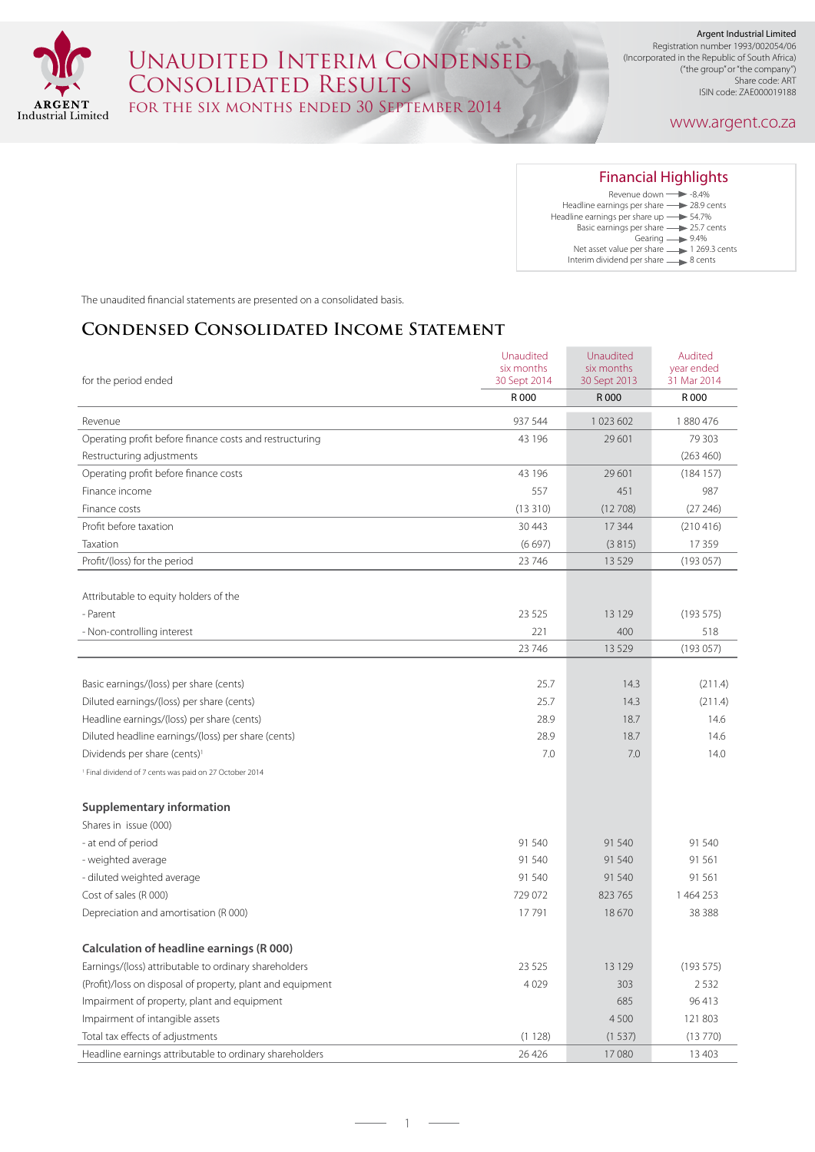

## $\frac{1}{2} \left( \frac{1}{2} \right)^{\frac{1}{2}} \left( \frac{1}{2} \right)^{\frac{1}{2}}$ Unaudited Interim Condensed Consolidated Results for the six months ended 30 September 2014

Registration number 1993/002054/06 (Incorporated in the Republic of South Africa) ("the group" or "the company") Share code: ART ISIN code: ZAE000019188

### www.argent.co.za

| <b>Financial Highlights</b>               |
|-------------------------------------------|
| Revenue down $\longrightarrow$ -8.4%      |
| Headline earnings per share - 28.9 cents  |
| Headline earnings per share up -> 54.7%   |
| Basic earnings per share ->>> 25.7 cents  |
| Gearing $\longrightarrow$ 9.4%            |
| Net asset value per share -1 269.3 cents  |
| Interim dividend per share ______ 8 cents |

The unaudited financial statements are presented on a consolidated basis.

## **Condensed Consolidated Income Statement**

|                                                                    | Unaudited<br>six months | Unaudited<br>six months | Audited<br>year ended |
|--------------------------------------------------------------------|-------------------------|-------------------------|-----------------------|
| for the period ended                                               | 30 Sept 2014            | 30 Sept 2013            | 31 Mar 2014           |
|                                                                    | R 000                   | R 000                   | R 000                 |
| Revenue                                                            | 937 544                 | 1023602                 | 1880476               |
| Operating profit before finance costs and restructuring            | 43 196                  | 29 601                  | 79 30 3               |
| Restructuring adjustments                                          |                         |                         | (263 460)             |
| Operating profit before finance costs                              | 43 196                  | 29 601                  | (184157)              |
| Finance income                                                     | 557                     | 451                     | 987                   |
| Finance costs                                                      | (13310)                 | (12708)                 | (27246)               |
| Profit before taxation                                             | 30 4 43                 | 17 344                  | (210416)              |
| Taxation                                                           | (6697)                  | (3815)                  | 17359                 |
| Profit/(loss) for the period                                       | 23 746                  | 13529                   | (193057)              |
|                                                                    |                         |                         |                       |
| Attributable to equity holders of the                              |                         |                         |                       |
| - Parent                                                           | 23 5 25                 | 13 1 29                 | (193575)              |
| - Non-controlling interest                                         | 221                     | 400                     | 518                   |
|                                                                    | 23 746                  | 13529                   | (193057)              |
|                                                                    |                         |                         |                       |
| Basic earnings/(loss) per share (cents)                            | 25.7                    | 14.3                    | (211.4)               |
| Diluted earnings/(loss) per share (cents)                          | 25.7                    | 14.3                    | (211.4)               |
| Headline earnings/(loss) per share (cents)                         | 28.9                    | 18.7                    | 14.6                  |
| Diluted headline earnings/(loss) per share (cents)                 | 28.9                    | 18.7                    | 14.6                  |
| Dividends per share (cents) <sup>1</sup>                           | 7.0                     | 7.0                     | 14.0                  |
| <sup>1</sup> Final dividend of 7 cents was paid on 27 October 2014 |                         |                         |                       |
|                                                                    |                         |                         |                       |
| <b>Supplementary information</b>                                   |                         |                         |                       |
| Shares in issue (000)                                              |                         |                         |                       |
| - at end of period                                                 | 91 540                  | 91 540                  | 91 540                |
| - weighted average                                                 | 91 540                  | 91 540                  | 91 561                |
| - diluted weighted average                                         | 91 540                  | 91 540                  | 91 561                |
| Cost of sales (R 000)                                              | 729 072                 | 823 765                 | 1464253               |
| Depreciation and amortisation (R 000)                              | 17791                   | 18670                   | 38 3 8 8              |
|                                                                    |                         |                         |                       |
| Calculation of headline earnings (R 000)                           |                         |                         |                       |
| Earnings/(loss) attributable to ordinary shareholders              | 23 5 25                 | 13 1 29                 | (193575)              |
| (Profit)/loss on disposal of property, plant and equipment         | 4029                    | 303                     | 2532                  |
| Impairment of property, plant and equipment                        |                         | 685                     | 96 413                |
| Impairment of intangible assets                                    |                         | 4500                    | 121 803               |
| Total tax effects of adjustments                                   | (1128)                  | (1537)                  | (13770)               |
| Headline earnings attributable to ordinary shareholders            | 26 4 26                 | 17080                   | 13 4 03               |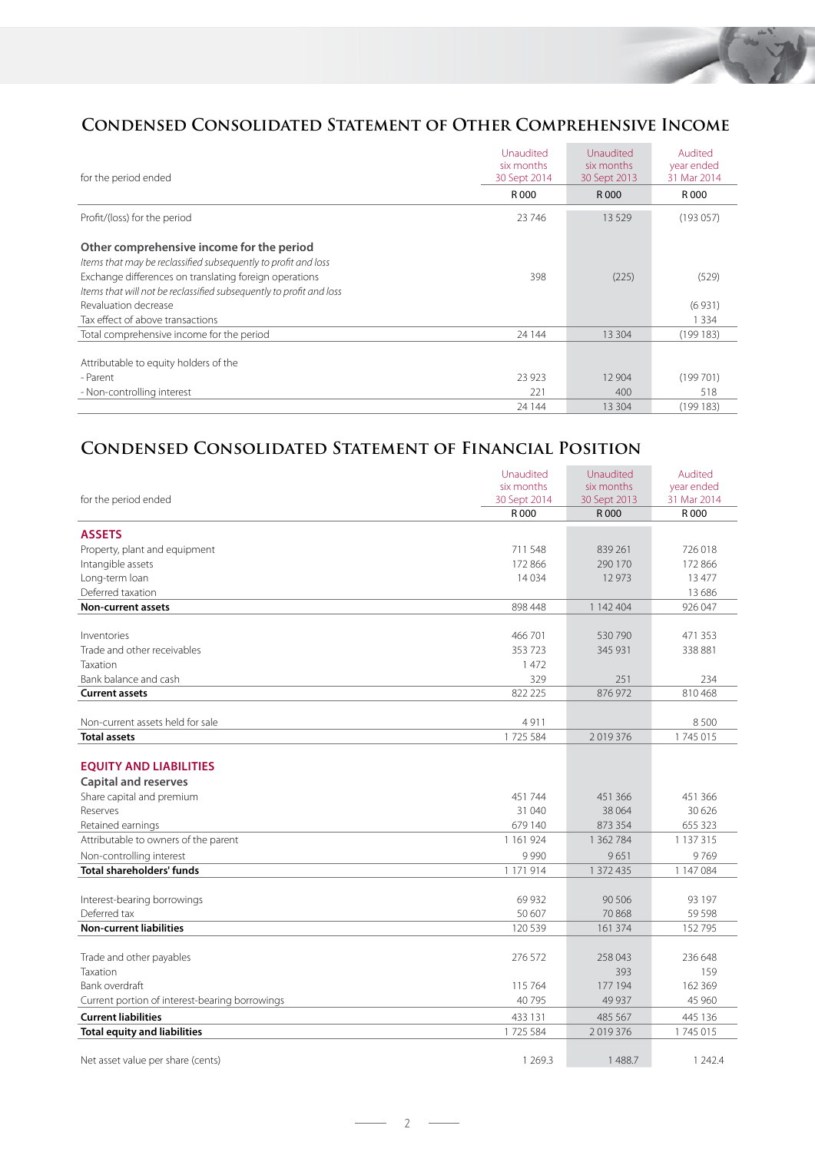

## **Condensed Consolidated Statement of Other Comprehensive Income**

| for the period ended                                                                                                          | Unaudited<br>six months<br>30 Sept 2014 | Unaudited<br>six months<br>30 Sept 2013 | Audited<br>year ended<br>31 Mar 2014 |
|-------------------------------------------------------------------------------------------------------------------------------|-----------------------------------------|-----------------------------------------|--------------------------------------|
|                                                                                                                               | R 000                                   | R 000                                   | R 000                                |
| Profit/(loss) for the period                                                                                                  | 23746                                   | 13529                                   | (193057)                             |
| Other comprehensive income for the period<br>Items that may be reclassified subsequently to profit and loss                   |                                         |                                         |                                      |
| Exchange differences on translating foreign operations<br>Items that will not be reclassified subsequently to profit and loss | 398                                     | (225)                                   | (529)                                |
| Revaluation decrease                                                                                                          |                                         |                                         | (6931)                               |
| Tax effect of above transactions                                                                                              |                                         |                                         | 1 3 3 4                              |
| Total comprehensive income for the period                                                                                     | 24 144                                  | 13 304                                  | (199183)                             |
| Attributable to equity holders of the                                                                                         |                                         |                                         |                                      |
| - Parent                                                                                                                      | 23 9 23                                 | 12 904                                  | (199701)                             |
| - Non-controlling interest                                                                                                    | 221                                     | 400                                     | 518                                  |
|                                                                                                                               | 24 144                                  | 13 304                                  | (199183)                             |

# **Condensed Consolidated Statement of Financial Position**

|                                                | Unaudited             | Unaudited             | Audited              |
|------------------------------------------------|-----------------------|-----------------------|----------------------|
|                                                | six months            | six months            | year ended           |
| for the period ended                           | 30 Sept 2014<br>R 000 | 30 Sept 2013<br>R 000 | 31 Mar 2014<br>R 000 |
|                                                |                       |                       |                      |
| <b>ASSETS</b>                                  |                       |                       |                      |
| Property, plant and equipment                  | 711 548               | 839 261               | 726 018              |
| Intangible assets                              | 172 866               | 290 170               | 172 866              |
| Long-term loan                                 | 14034                 | 12973                 | 13477                |
| Deferred taxation                              |                       |                       | 13 6 8 6             |
| <b>Non-current assets</b>                      | 898 448               | 1 142 404             | 926 047              |
|                                                |                       |                       |                      |
| Inventories                                    | 466701                | 530 790               | 471 353              |
| Trade and other receivables                    | 353723                | 345 931               | 338 881              |
| <b>Taxation</b>                                | 1472                  |                       |                      |
| Bank balance and cash                          | 329                   | 251                   | 234                  |
| <b>Current assets</b>                          | 822 225               | 876 972               | 810 468              |
|                                                |                       |                       |                      |
| Non-current assets held for sale               | 4911                  |                       | 8500                 |
| <b>Total assets</b>                            | 1725 584              | 2019376               | 1745015              |
|                                                |                       |                       |                      |
| <b>EQUITY AND LIABILITIES</b>                  |                       |                       |                      |
| <b>Capital and reserves</b>                    |                       |                       |                      |
| Share capital and premium                      | 451 744               | 451 366               | 451 366              |
| Reserves                                       | 31 040                | 38 064                | 30 6 26              |
| Retained earnings                              | 679 140               | 873 354               | 655 323              |
| Attributable to owners of the parent           | 1 1 6 1 9 2 4         | 1 362 784             | 1 1 3 7 3 1 5        |
| Non-controlling interest                       | 9990                  | 9651                  | 9769                 |
| <b>Total shareholders' funds</b>               | 1 171 914             | 1 372 435             | 1 147 084            |
|                                                |                       |                       |                      |
| Interest-bearing borrowings                    | 69 9 32               | 90 50 6               | 93 197               |
| Deferred tax                                   | 50 607                | 70868                 | 59 5 98              |
| <b>Non-current liabilities</b>                 | 120 539               | 161 374               | 152795               |
|                                                | 276 572               | 258 043               | 236 648              |
| Trade and other payables<br>Taxation           |                       | 393                   |                      |
| Bank overdraft                                 | 115 764               | 177 194               | 159<br>162 369       |
| Current portion of interest-bearing borrowings | 40 795                | 49 9 37               | 45 960               |
|                                                |                       |                       |                      |
| <b>Current liabilities</b>                     | 433 131               | 485 567               | 445 136              |
| <b>Total equity and liabilities</b>            | 1725 584              | 2019376               | 1745015              |
| Net asset value per share (cents)              | 1 2 6 9 . 3           | 1488.7                | 1 24 2.4             |
|                                                |                       |                       |                      |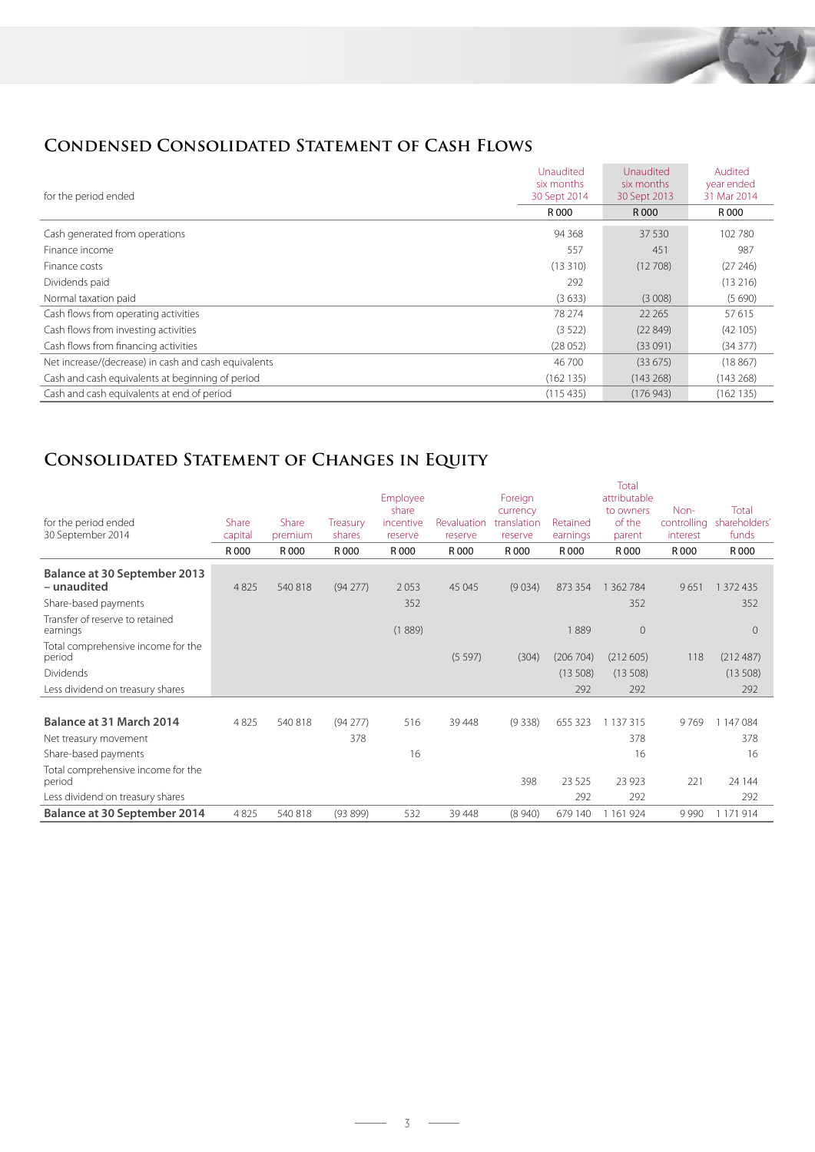

# **Condensed Consolidated Statement of Cash Flows**

| for the period ended                                 | Unaudited<br>six months<br>30 Sept 2014 | Unaudited<br>six months<br>30 Sept 2013 | Audited<br>year ended<br>31 Mar 2014 |
|------------------------------------------------------|-----------------------------------------|-----------------------------------------|--------------------------------------|
|                                                      | R 000                                   | R 000                                   | R 000                                |
| Cash generated from operations                       | 94 3 68                                 | 37 530                                  | 102 780                              |
| Finance income                                       | 557                                     | 451                                     | 987                                  |
| Finance costs                                        | (13310)                                 | (12708)                                 | (27246)                              |
| Dividends paid                                       | 292                                     |                                         | (13216)                              |
| Normal taxation paid                                 | (3633)                                  | (3008)                                  | (5690)                               |
| Cash flows from operating activities                 | 78 274                                  | 22 2 65                                 | 57615                                |
| Cash flows from investing activities                 | (3522)                                  | (22849)                                 | (42105)                              |
| Cash flows from financing activities                 | (28052)                                 | (33091)                                 | (34377)                              |
| Net increase/(decrease) in cash and cash equivalents | 46 700                                  | (33675)                                 | (18867)                              |
| Cash and cash equivalents at beginning of period     | (162135)                                | (143 268)                               | (143 268)                            |
| Cash and cash equivalents at end of period           | (115435)                                | (176943)                                | (162135)                             |

# **Consolidated Statement of Changes in Equity**

|                                              |         |         |          | Employee  |             | Foreign     |           | Total<br>attributable |             |               |
|----------------------------------------------|---------|---------|----------|-----------|-------------|-------------|-----------|-----------------------|-------------|---------------|
|                                              |         |         |          | share     |             | currency    |           | to owners             | Non-        | Total         |
| for the period ended                         | Share   | Share   | Treasury | incentive | Revaluation | translation | Retained  | of the                | controlling | shareholders' |
| 30 September 2014                            | capital | premium | shares   | reserve   | reserve     | reserve     | earnings  | parent                | interest    | funds         |
|                                              | R 000   | R 000   | R 000    | R 000     | R 000       | R 000       | R 000     | R 000                 | R 000       | R 000         |
| <b>Balance at 30 September 2013</b>          |         |         |          |           |             |             |           |                       |             |               |
| - unaudited                                  | 4 8 2 5 | 540 818 | (94277)  | 2053      | 45 045      | (9034)      | 873 354   | 1 3 6 2 7 8 4         | 9651        | 1 372 435     |
| Share-based payments                         |         |         |          | 352       |             |             |           | 352                   |             | 352           |
| Transfer of reserve to retained<br>earnings  |         |         |          | (1889)    |             |             | 889       | $\overline{0}$        |             | $\Omega$      |
| Total comprehensive income for the<br>period |         |         |          |           | (5597)      | (304)       | (206 704) | (212605)              | 118         | (212487)      |
| Dividends                                    |         |         |          |           |             |             | (13508)   | (13508)               |             | (13508)       |
| Less dividend on treasury shares             |         |         |          |           |             |             | 292       | 292                   |             | 292           |
|                                              |         |         |          |           |             |             |           |                       |             |               |
| Balance at 31 March 2014                     | 4 8 2 5 | 540 818 | (94277)  | 516       | 39 4 48     | (9338)      | 655 323   | 1 1 3 7 3 1 5         | 9769        | 1 147 084     |
| Net treasury movement                        |         |         | 378      |           |             |             |           | 378                   |             | 378           |
| Share-based payments                         |         |         |          | 16        |             |             |           | 16                    |             | 16            |
| Total comprehensive income for the<br>period |         |         |          |           |             | 398         | 23 5 25   | 23 9 23               | 221         | 24 144        |
| Less dividend on treasury shares             |         |         |          |           |             |             | 292       | 292                   |             | 292           |
| Balance at 30 September 2014                 | 4 8 2 5 | 540 818 | (93899)  | 532       | 39 4 48     | (8940)      | 679 140   | 1 1 6 1 9 2 4         | 9990        | 1 171 914     |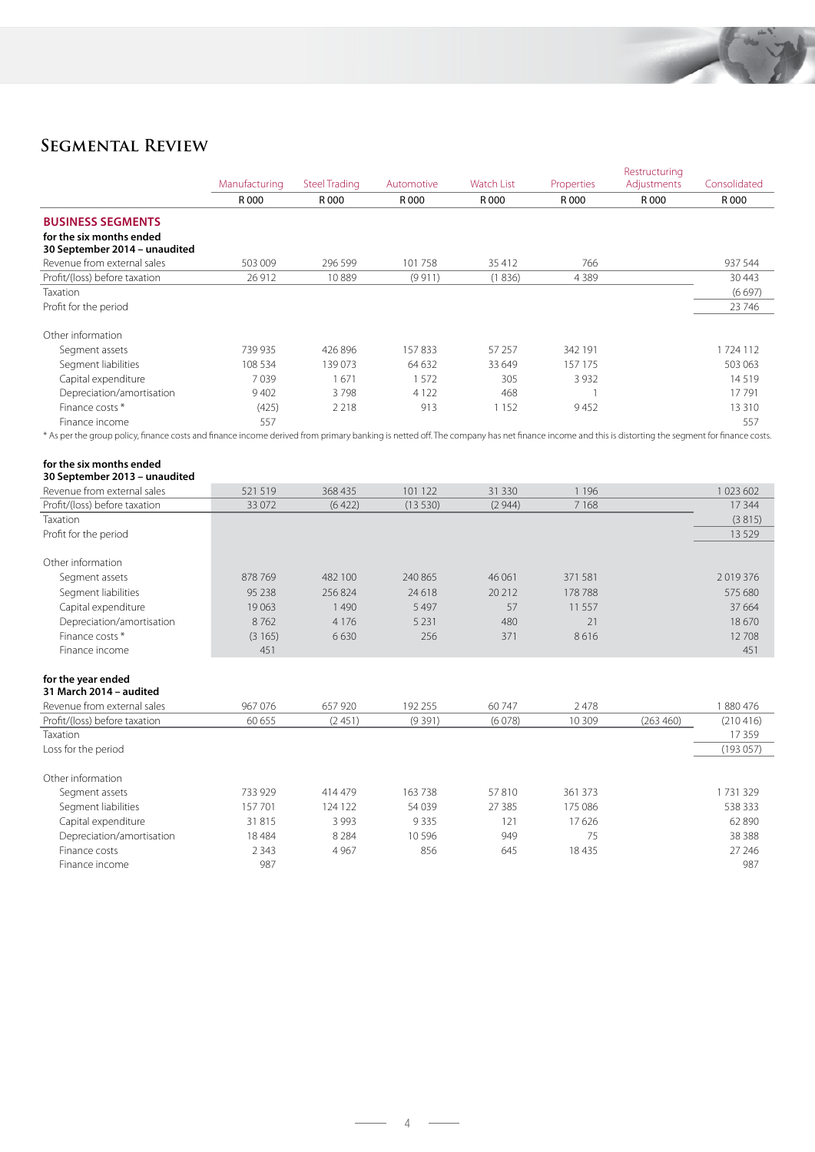

# **Segmental Review**

|                                                                                                                                                                                                  |               |                      |            |            |                | Restructuring |              |
|--------------------------------------------------------------------------------------------------------------------------------------------------------------------------------------------------|---------------|----------------------|------------|------------|----------------|---------------|--------------|
|                                                                                                                                                                                                  | Manufacturing | <b>Steel Trading</b> | Automotive | Watch List | Properties     | Adjustments   | Consolidated |
|                                                                                                                                                                                                  | R 000         | R 000                | R 000      | R 000      | R 000          | R 000         | R 000        |
| <b>BUSINESS SEGMENTS</b>                                                                                                                                                                         |               |                      |            |            |                |               |              |
| for the six months ended                                                                                                                                                                         |               |                      |            |            |                |               |              |
| 30 September 2014 - unaudited                                                                                                                                                                    |               |                      |            |            |                |               |              |
| Revenue from external sales                                                                                                                                                                      | 503 009       | 296 599              | 101 758    | 35 412     | 766            |               | 937 544      |
| Profit/(loss) before taxation                                                                                                                                                                    | 26 912        | 10889                | (9911)     | (1836)     | 4389           |               | 30 4 43      |
| Taxation                                                                                                                                                                                         |               |                      |            |            |                |               | (6697)       |
| Profit for the period                                                                                                                                                                            |               |                      |            |            |                |               | 23 746       |
| Other information                                                                                                                                                                                |               |                      |            |            |                |               |              |
| Segment assets                                                                                                                                                                                   | 739 935       | 426 896              | 157833     | 57 257     | 342 191        |               | 1724 112     |
| Segment liabilities                                                                                                                                                                              | 108 534       | 139073               | 64 632     | 33 649     | 157 175        |               | 503 063      |
| Capital expenditure                                                                                                                                                                              | 7039          | 1671                 | 1572       | 305        | 3 9 3 2        |               | 14519        |
| Depreciation/amortisation                                                                                                                                                                        | 9402          | 3798                 | 4 1 2 2    | 468        | 1              |               | 17791        |
| Finance costs *                                                                                                                                                                                  | (425)         | 2 2 1 8              | 913        | 1 1 5 2    | 9452           |               | 13 3 10      |
| Finance income                                                                                                                                                                                   | 557           |                      |            |            |                |               | 557          |
| * As per the group policy, finance costs and finance income derived from primary banking is netted off. The company has net finance income and this is distorting the segment for finance costs. |               |                      |            |            |                |               |              |
|                                                                                                                                                                                                  |               |                      |            |            |                |               |              |
| for the six months ended<br>30 September 2013 - unaudited                                                                                                                                        |               |                      |            |            |                |               |              |
| Revenue from external sales                                                                                                                                                                      | 521 519       | 368 435              | 101 122    | 31 330     | 1 1 9 6        |               | 1023602      |
| Profit/(loss) before taxation                                                                                                                                                                    | 33 0 72       | (6422)               | (13530)    | (2944)     | 7 1 6 8        |               | 17 344       |
| Taxation                                                                                                                                                                                         |               |                      |            |            |                |               | (3815)       |
| Profit for the period                                                                                                                                                                            |               |                      |            |            |                |               | 13 5 29      |
|                                                                                                                                                                                                  |               |                      |            |            |                |               |              |
| Other information                                                                                                                                                                                |               |                      |            |            |                |               |              |
| Segment assets                                                                                                                                                                                   | 878769        | 482 100              | 240 865    | 46 061     | 371 581        |               | 2019376      |
| Segment liabilities                                                                                                                                                                              | 95 238        | 256824               | 24 618     | 20 21 2    | 178788         |               | 575 680      |
| Capital expenditure                                                                                                                                                                              | 19063         | 1490                 | 5 4 9 7    | 57         | 11 5 5 7       |               | 37 6 6 4     |
| Depreciation/amortisation                                                                                                                                                                        | 8762          | 4 1 7 6              | 5 2 3 1    | 480        | 21             |               | 18670        |
| Finance costs *                                                                                                                                                                                  | (3165)        | 6630                 | 256        | 371        | 8616           |               | 12708        |
| Finance income                                                                                                                                                                                   | 451           |                      |            |            |                |               | 451          |
|                                                                                                                                                                                                  |               |                      |            |            |                |               |              |
| for the year ended                                                                                                                                                                               |               |                      |            |            |                |               |              |
| 31 March 2014 - audited<br>Revenue from external sales                                                                                                                                           |               | 657 920              |            |            |                |               |              |
|                                                                                                                                                                                                  | 967 076       |                      | 192 255    | 60747      | 2478<br>10 309 |               | 1880476      |
| Profit/(loss) before taxation<br>Taxation                                                                                                                                                        | 60 655        | (2451)               | (9391)     | (6078)     |                | (263 460)     | (210416)     |
|                                                                                                                                                                                                  |               |                      |            |            |                |               | 17359        |
| Loss for the period                                                                                                                                                                              |               |                      |            |            |                |               | (193057)     |
| Other information                                                                                                                                                                                |               |                      |            |            |                |               |              |
| Segment assets                                                                                                                                                                                   | 733 929       | 414 479              | 163738     | 57810      | 361 373        |               | 1731329      |
| Segment liabilities                                                                                                                                                                              | 157 701       | 124 122              | 54 039     | 27 385     | 175 086        |               | 538 333      |
| Capital expenditure                                                                                                                                                                              | 31 815        | 3 9 9 3              | 9335       | 121        | 17626          |               | 62 890       |
| Depreciation/amortisation                                                                                                                                                                        | 18 4 84       | 8 2 8 4              | 10596      | 949        | 75             |               | 38 3 8 8     |
| Finance costs                                                                                                                                                                                    | 2 3 4 3       | 4 9 6 7              | 856        | 645        | 18 4 35        |               | 27 24 6      |
| Finance income                                                                                                                                                                                   | 987           |                      |            |            |                |               | 987          |
|                                                                                                                                                                                                  |               |                      |            |            |                |               |              |

 $\sim$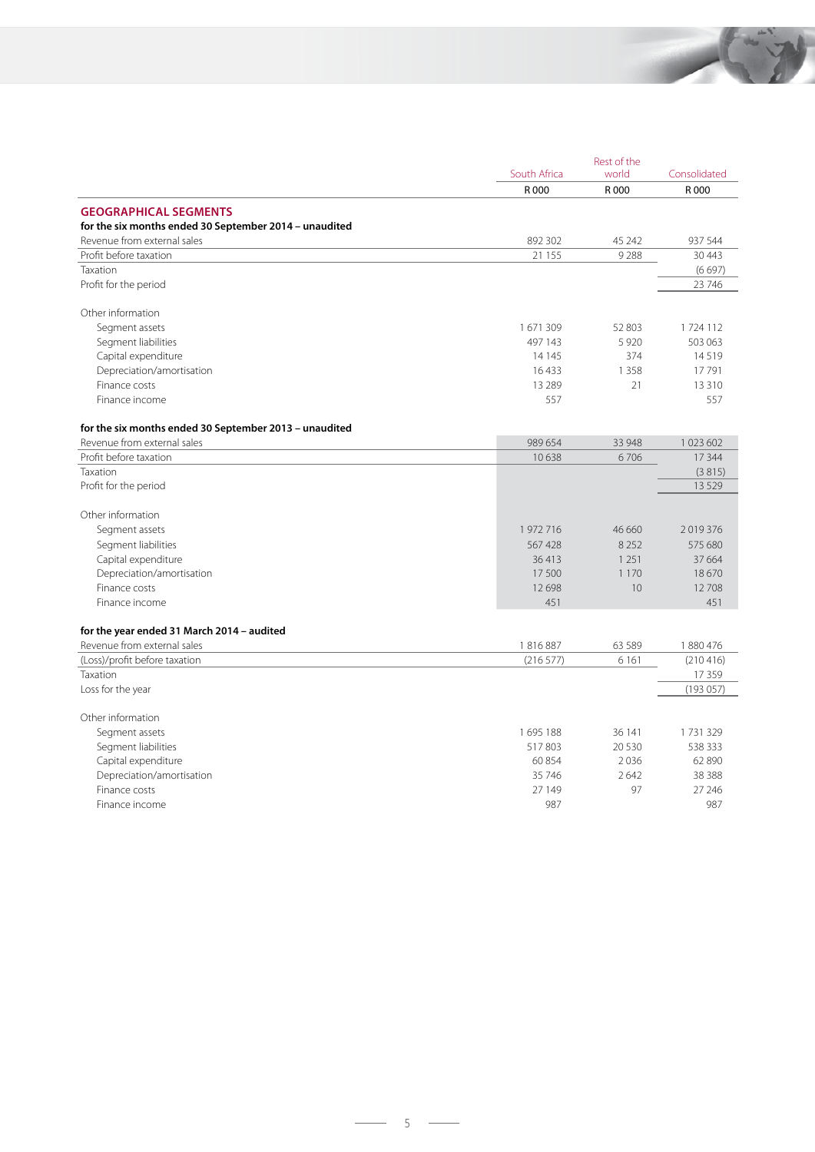

|                                                        |              | Rest of the |              |
|--------------------------------------------------------|--------------|-------------|--------------|
|                                                        | South Africa | world       | Consolidated |
|                                                        | R 000        | R 000       | R 000        |
| <b>GEOGRAPHICAL SEGMENTS</b>                           |              |             |              |
| for the six months ended 30 September 2014 - unaudited |              |             |              |
| Revenue from external sales                            | 892 302      | 45 242      | 937 544      |
| Profit before taxation                                 | 21 155       | 9288        | 30 4 43      |
| Taxation                                               |              |             | (6697)       |
| Profit for the period                                  |              |             | 23 746       |
| Other information                                      |              |             |              |
| Segment assets                                         | 1671309      | 52 803      | 1724112      |
| Segment liabilities                                    | 497 143      | 5920        | 503 063      |
| Capital expenditure                                    | 14 1 45      | 374         | 14519        |
| Depreciation/amortisation                              | 16433        | 1 3 5 8     | 17791        |
| Finance costs                                          | 13 2 8 9     | 21          | 13 3 10      |
| Finance income                                         | 557          |             | 557          |
| for the six months ended 30 September 2013 - unaudited |              |             |              |
| Revenue from external sales                            | 989 654      | 33 948      | 1 023 602    |
| Profit before taxation                                 | 10638        | 6706        | 17 344       |
| Taxation                                               |              |             | (3815)       |
| Profit for the period                                  |              |             | 13 5 29      |
| Other information                                      |              |             |              |
| Segment assets                                         | 1972716      | 46 660      | 2019376      |
| Segment liabilities                                    | 567428       | 8 2 5 2     | 575 680      |
| Capital expenditure                                    | 36413        | 1 2 5 1     | 37 6 64      |
| Depreciation/amortisation                              | 17500        | 1 1 7 0     | 18670        |
| Finance costs                                          | 12698        | 10          | 12708        |
| Finance income                                         | 451          |             | 451          |
| for the year ended 31 March 2014 - audited             |              |             |              |
| Revenue from external sales                            | 1816887      | 63 5 89     | 1880476      |
| (Loss)/profit before taxation                          | (216 577)    | 6 1 6 1     | (210416)     |
| Taxation                                               |              |             | 17359        |
| Loss for the year                                      |              |             | (193057)     |
| Other information                                      |              |             |              |
| Segment assets                                         | 1695 188     | 36 141      | 1731329      |
| Segment liabilities                                    | 517803       | 20 5 30     | 538 333      |
| Capital expenditure                                    | 60 854       | 2036        | 62 890       |
| Depreciation/amortisation                              | 35 746       | 2642        | 38 3 8 8     |
| Finance costs                                          | 27 149       | 97          | 27 24 6      |
| Finance income                                         | 987          |             | 987          |
|                                                        |              |             |              |

 $\overline{\phantom{a}}$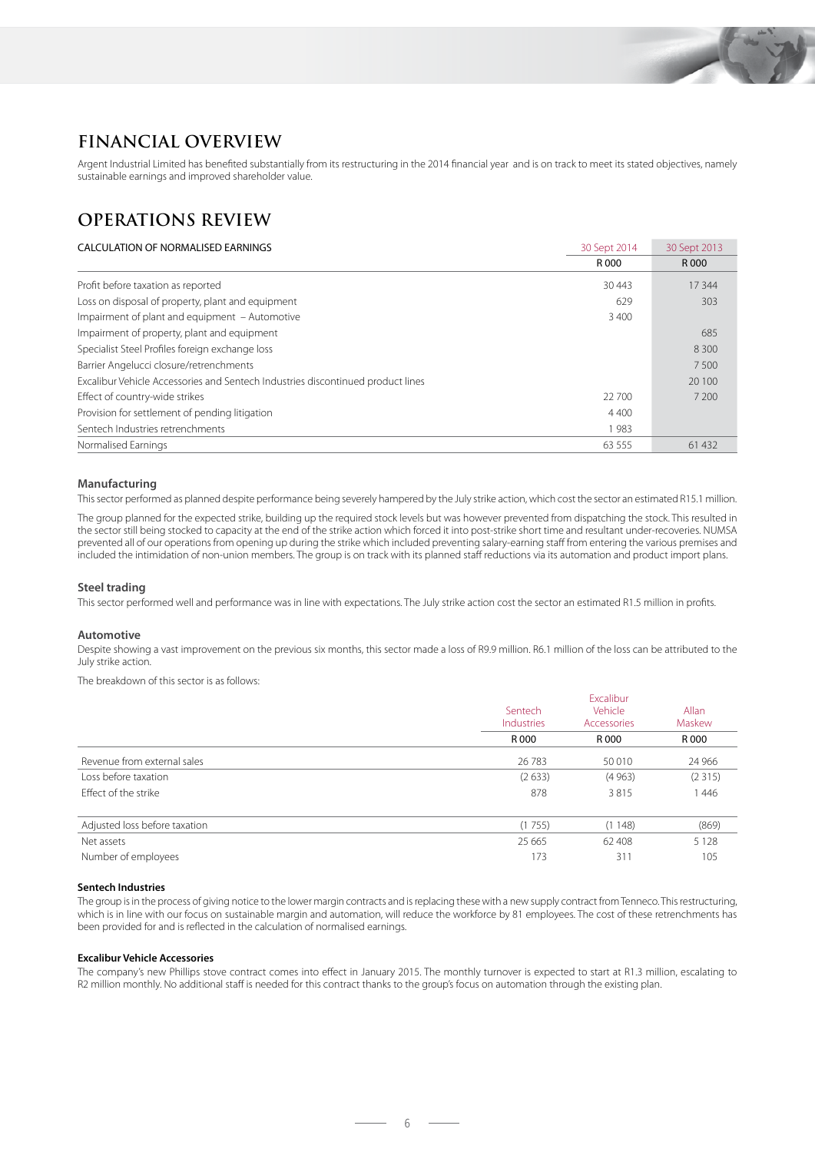# **FINANCIAL OVERVIEW**

Argent Industrial Limited has benefited substantially from its restructuring in the 2014 financial year and is on track to meet its stated objectives, namely sustainable earnings and improved shareholder value.

# **OPERATIONS REVIEW**

### CALCULATION OF NORMALISED EARNINGS<br>
30 Sept 2014 30 Sept 2013 R 000 R 000 Profit before taxation as reported 30 443 17 344 Loss on disposal of property, plant and equipment 629 303 Impairment of plant and equipment – Automotive 3 400 Impairment of property, plant and equipment 685 Specialist Steel Profiles foreign exchange loss 8 300 Barrier Angelucci closure/retrenchments 7 500 Excalibur Vehicle Accessories and Sentech Industries discontinued product lines 20 100 Effect of country-wide strikes 22 700 7 200 Provision for settlement of pending litigation 4 400 Sentech Industries retrenchments 1 983 Normalised Earnings 61 432 and 52 61 432 and 52 61 432 and 52 63 555 61 432 and 52 61 432 and 53 555 61 432 and 53 555 61 432 and 53 555 61 432 and 53 555 61 432 and 53 555 61 432 and 53 555 61 432 and 53 61 432 and 53 61

#### **Manufacturing**

This sector performed as planned despite performance being severely hampered by the July strike action, which cost the sector an estimated R15.1 million.

The group planned for the expected strike, building up the required stock levels but was however prevented from dispatching the stock. This resulted in the sector still being stocked to capacity at the end of the strike action which forced it into post-strike short time and resultant under-recoveries. NUMSA prevented all of our operations from opening up during the strike which included preventing salary-earning staff from entering the various premises and included the intimidation of non-union members. The group is on track with its planned staff reductions via its automation and product import plans.

#### **Steel trading**

This sector performed well and performance was in line with expectations. The July strike action cost the sector an estimated R1.5 million in profits.

#### **Automotive**

Despite showing a vast improvement on the previous six months, this sector made a loss of R9.9 million. R6.1 million of the loss can be attributed to the July strike action.

The breakdown of this sector is as follows:

|                               | Sentech<br>Industries<br>R 000 | <b>Fxcalibur</b><br>Vehicle<br>Accessories<br>R 000 | Allan<br>Maskew<br>R 000 |
|-------------------------------|--------------------------------|-----------------------------------------------------|--------------------------|
| Revenue from external sales   | 26 7 8 3                       | 50 010                                              | 24 966                   |
| Loss before taxation          | (2633)                         | (4963)                                              | (2315)                   |
| <b>Effect of the strike</b>   | 878                            | 3815                                                | 446                      |
| Adjusted loss before taxation | (1755)                         | (1148)                                              | (869)                    |
| Net assets                    | 25 6 65                        | 62 408                                              | 5 1 2 8                  |
| Number of employees           | 173                            | 311                                                 | 105                      |

#### **Sentech Industries**

The group is in the process of giving notice to the lower margin contracts and is replacing these with a new supply contract from Tenneco. This restructuring, which is in line with our focus on sustainable margin and automation, will reduce the workforce by 81 employees. The cost of these retrenchments has been provided for and is reflected in the calculation of normalised earnings.

#### **Excalibur Vehicle Accessories**

The company's new Phillips stove contract comes into effect in January 2015. The monthly turnover is expected to start at R1.3 million, escalating to R2 million monthly. No additional staff is needed for this contract thanks to the group's focus on automation through the existing plan.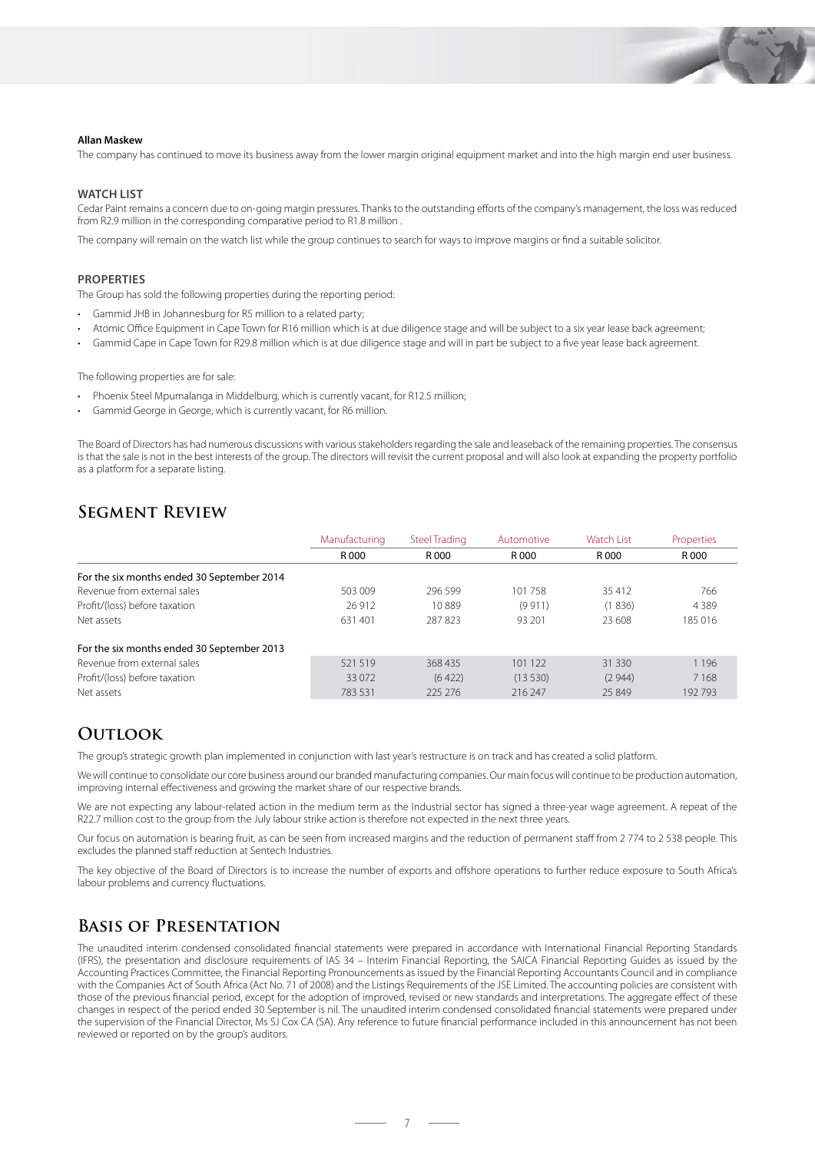

#### **Allan Maskew**

The company has continued to move its business away from the lower margin original equipment market and into the high margin end user business.

#### **WATCH LIST**

Cedar Paint remains a concern due to on-going margin pressures. Thanks to the outstanding efforts of the company's management, the loss was reduced from R2.9 million in the corresponding comparative period to R1.8 million .

The company will remain on the watch list while the group continues to search for ways to improve margins or find a suitable solicitor.

#### **PROPERTIES**

The Group has sold the following properties during the reporting period:

- Gammid JHB in Johannesburg for R5 million to a related party;
- Atomic Office Equipment in Cape Town for R16 million which is at due diligence stage and will be subject to a six year lease back agreement;
- Gammid Cape in Cape Town for R29.8 million which is at due diligence stage and will in part be subject to a five year lease back agreement.

The following properties are for sale:

- Phoenix Steel Mpumalanga in Middelburg, which is currently vacant, for R12.5 million;
- Gammid George in George, which is currently vacant, for R6 million.

The Board of Directors has had numerous discussions with various stakeholders regarding the sale and leaseback of the remaining properties. The consensus is that the sale is not in the best interests of the group. The directors will revisit the current proposal and will also look at expanding the property portfolio as a platform for a separate listing.

### **Segment Review**

|                                            | Manufacturing | <b>Steel Trading</b> | Automotive | <b>Watch List</b> | Properties |
|--------------------------------------------|---------------|----------------------|------------|-------------------|------------|
|                                            | R 000         | R 000                | R 000      | R 000             | R 000      |
| For the six months ended 30 September 2014 |               |                      |            |                   |            |
| Revenue from external sales                | 503 009       | 296.599              | 101 758    | 35412             | 766        |
| Profit/(loss) before taxation              | 26 912        | 10889                | (9911)     | (1836)            | 4 3 8 9    |
| Net assets                                 | 631 401       | 287823               | 93 201     | 23 608            | 185 016    |
| For the six months ended 30 September 2013 |               |                      |            |                   |            |
| Revenue from external sales                | 521 519       | 368435               | 101 122    | 31 330            | 1 1 9 6    |
| Profit/(loss) before taxation              | 33 0 72       | (6422)               | (13530)    | (2944)            | 7 1 6 8    |
| Net assets                                 | 783 531       | 225 276              | 216 247    | 25849             | 192793     |

### **OUTLOOK**

The group's strategic growth plan implemented in conjunction with last year's restructure is on track and has created a solid platform.

We will continue to consolidate our core business around our branded manufacturing companies. Our main focus will continue to be production automation, improving internal effectiveness and growing the market share of our respective brands.

We are not expecting any labour-related action in the medium term as the Industrial sector has signed a three-year wage agreement. A repeat of the R22.7 million cost to the group from the July labour strike action is therefore not expected in the next three years.

Our focus on automation is bearing fruit, as can be seen from increased margins and the reduction of permanent staff from 2 774 to 2 538 people. This excludes the planned staff reduction at Sentech Industries.

The key objective of the Board of Directors is to increase the number of exports and offshore operations to further reduce exposure to South Africa's labour problems and currency fluctuations.

### **Basis of Presentation**

The unaudited interim condensed consolidated financial statements were prepared in accordance with International Financial Reporting Standards (IFRS), the presentation and disclosure requirements of IAS 34 – Interim Financial Reporting, the SAICA Financial Reporting Guides as issued by the Accounting Practices Committee, the Financial Reporting Pronouncements as issued by the Financial Reporting Accountants Council and in compliance with the Companies Act of South Africa (Act No. 71 of 2008) and the Listings Requirements of the JSE Limited. The accounting policies are consistent with those of the previous financial period, except for the adoption of improved, revised or new standards and interpretations. The aggregate effect of these changes in respect of the period ended 30 September is nil. The unaudited interim condensed consolidated financial statements were prepared under the supervision of the Financial Director, Ms SJ Cox CA (SA). Any reference to future financial performance included in this announcement has not been reviewed or reported on by the group's auditors.

 $-7-$